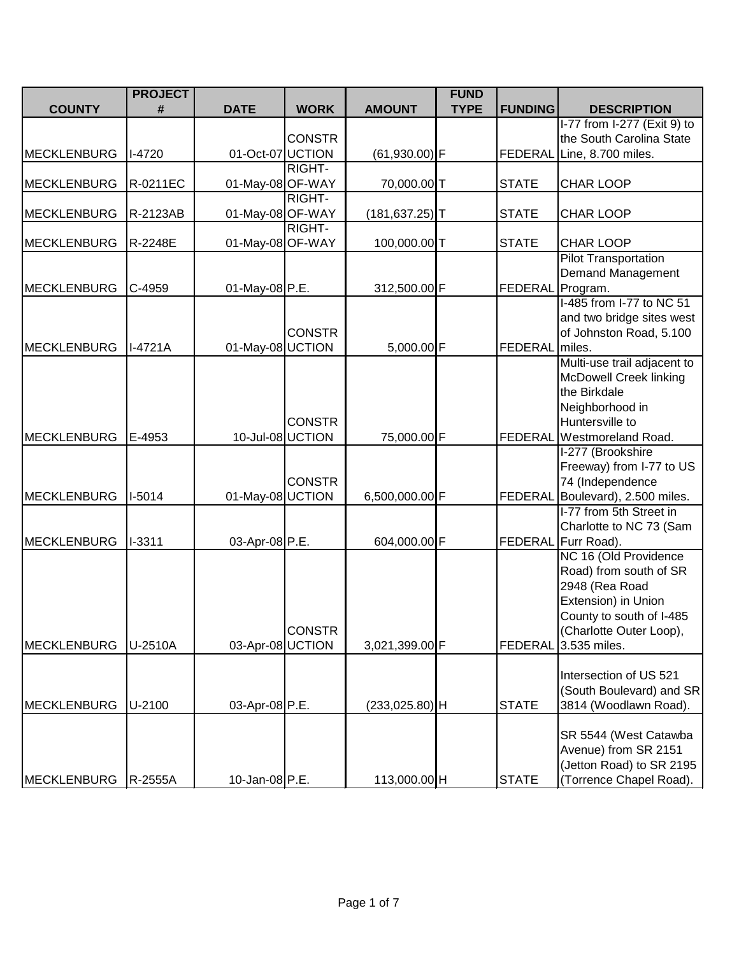|                    | <b>PROJECT</b><br><b>FUND</b> |                  |               |                   |             |                  |                                                         |
|--------------------|-------------------------------|------------------|---------------|-------------------|-------------|------------------|---------------------------------------------------------|
| <b>COUNTY</b>      | #                             | <b>DATE</b>      | <b>WORK</b>   | <b>AMOUNT</b>     | <b>TYPE</b> | <b>FUNDING</b>   | <b>DESCRIPTION</b>                                      |
|                    |                               |                  | <b>CONSTR</b> |                   |             |                  | I-77 from I-277 (Exit 9) to<br>the South Carolina State |
| <b>MECKLENBURG</b> | $I-4720$                      | 01-Oct-07 UCTION |               | $(61,930.00)$ F   |             |                  | FEDERAL Line, 8.700 miles.                              |
| <b>MECKLENBURG</b> | R-0211EC                      | 01-May-08 OF-WAY | RIGHT-        | 70,000.00T        |             | <b>STATE</b>     | CHAR LOOP                                               |
|                    |                               |                  | RIGHT-        |                   |             |                  |                                                         |
| <b>MECKLENBURG</b> | R-2123AB                      | 01-May-08 OF-WAY | RIGHT-        | $(181, 637.25)$ T |             | <b>STATE</b>     | <b>CHAR LOOP</b>                                        |
| <b>MECKLENBURG</b> | R-2248E                       | 01-May-08 OF-WAY |               | 100,000.00T       |             | <b>STATE</b>     | <b>CHAR LOOP</b>                                        |
|                    |                               |                  |               |                   |             |                  | <b>Pilot Transportation</b><br>Demand Management        |
| <b>MECKLENBURG</b> | C-4959                        | 01-May-08 P.E.   |               | 312,500.00 F      |             | FEDERAL Program. |                                                         |
|                    |                               |                  |               |                   |             |                  | I-485 from I-77 to NC 51                                |
|                    |                               |                  | <b>CONSTR</b> |                   |             |                  | and two bridge sites west<br>of Johnston Road, 5.100    |
| MECKLENBURG        | $I-4721A$                     | 01-May-08 UCTION |               | 5,000.00 F        |             | FEDERAL miles.   |                                                         |
|                    |                               |                  |               |                   |             |                  | Multi-use trail adjacent to                             |
|                    |                               |                  |               |                   |             |                  | <b>McDowell Creek linking</b><br>the Birkdale           |
|                    |                               |                  |               |                   |             |                  | Neighborhood in                                         |
|                    |                               |                  | <b>CONSTR</b> |                   |             |                  | Huntersville to                                         |
| <b>MECKLENBURG</b> | E-4953                        | 10-Jul-08 UCTION |               | 75,000.00 F       |             | <b>FEDERAL</b>   | <b>Westmoreland Road.</b>                               |
|                    |                               |                  |               |                   |             |                  | I-277 (Brookshire                                       |
|                    |                               |                  |               |                   |             |                  | Freeway) from I-77 to US                                |
| <b>MECKLENBURG</b> | I-5014                        | 01-May-08 UCTION | <b>CONSTR</b> | 6,500,000.00 F    |             |                  | 74 (Independence<br>FEDERAL Boulevard), 2.500 miles.    |
|                    |                               |                  |               |                   |             |                  | I-77 from 5th Street in                                 |
|                    |                               |                  |               |                   |             |                  | Charlotte to NC 73 (Sam                                 |
| <b>MECKLENBURG</b> | $I-3311$                      | 03-Apr-08 P.E.   |               | 604,000.00 F      |             |                  | FEDERAL Furr Road).                                     |
|                    |                               |                  |               |                   |             |                  | NC 16 (Old Providence                                   |
|                    |                               |                  |               |                   |             |                  | Road) from south of SR                                  |
|                    |                               |                  |               |                   |             |                  | 2948 (Rea Road                                          |
|                    |                               |                  |               |                   |             |                  | Extension) in Union                                     |
|                    |                               |                  | <b>CONSTR</b> |                   |             |                  | County to south of I-485<br>(Charlotte Outer Loop),     |
| <b>MECKLENBURG</b> | U-2510A                       | 03-Apr-08 UCTION |               | 3,021,399.00 F    |             | <b>FEDERAL</b>   | 3.535 miles.                                            |
|                    |                               |                  |               |                   |             |                  |                                                         |
|                    |                               |                  |               |                   |             |                  | Intersection of US 521                                  |
|                    |                               |                  |               |                   |             |                  | (South Boulevard) and SR                                |
| <b>MECKLENBURG</b> | U-2100                        | 03-Apr-08 P.E.   |               | $(233,025.80)$ H  |             | <b>STATE</b>     | 3814 (Woodlawn Road).                                   |
|                    |                               |                  |               |                   |             |                  | SR 5544 (West Catawba                                   |
|                    |                               |                  |               |                   |             |                  | Avenue) from SR 2151                                    |
|                    |                               |                  |               |                   |             |                  | (Jetton Road) to SR 2195                                |
| MECKLENBURG        | R-2555A                       | 10-Jan-08 P.E.   |               | 113,000.00 H      |             | <b>STATE</b>     | (Torrence Chapel Road).                                 |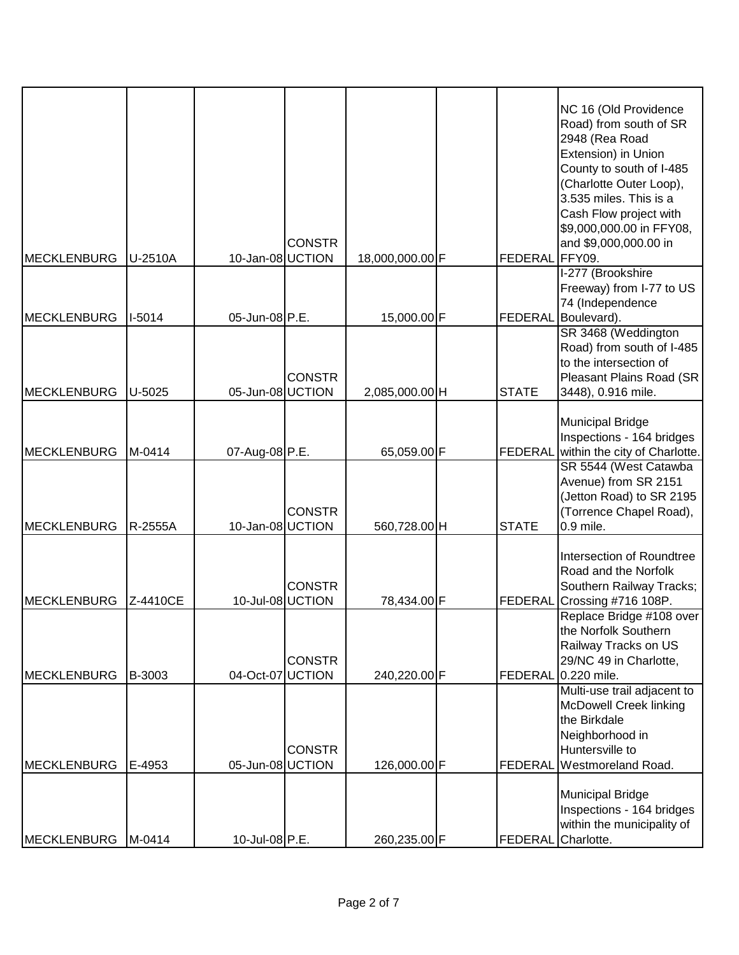| <b>MECKLENBURG</b> | U-2510A  | 10-Jan-08 UCTION | <b>CONSTR</b> | 18,000,000.00 F | <b>FEDERAL</b> | NC 16 (Old Providence<br>Road) from south of SR<br>2948 (Rea Road<br>Extension) in Union<br>County to south of I-485<br>(Charlotte Outer Loop),<br>3.535 miles. This is a<br>Cash Flow project with<br>\$9,000,000.00 in FFY08,<br>and \$9,000,000.00 in<br>FFY09. |
|--------------------|----------|------------------|---------------|-----------------|----------------|--------------------------------------------------------------------------------------------------------------------------------------------------------------------------------------------------------------------------------------------------------------------|
|                    |          |                  |               |                 |                | I-277 (Brookshire                                                                                                                                                                                                                                                  |
| MECKLENBURG        | $I-5014$ | 05-Jun-08 P.E.   |               | 15,000.00 F     | <b>FEDERAL</b> | Freeway) from I-77 to US<br>74 (Independence<br>Boulevard).                                                                                                                                                                                                        |
| <b>MECKLENBURG</b> | $U-5025$ | 05-Jun-08 UCTION | <b>CONSTR</b> | 2,085,000.00 H  | <b>STATE</b>   | SR 3468 (Weddington<br>Road) from south of I-485<br>to the intersection of<br>Pleasant Plains Road (SR<br>3448), 0.916 mile.                                                                                                                                       |
| MECKLENBURG        | M-0414   | 07-Aug-08 P.E.   |               | 65,059.00 F     | <b>FEDERAL</b> | <b>Municipal Bridge</b><br>Inspections - 164 bridges<br>within the city of Charlotte.                                                                                                                                                                              |
| <b>MECKLENBURG</b> | R-2555A  | 10-Jan-08 UCTION | <b>CONSTR</b> | 560,728.00 H    | <b>STATE</b>   | SR 5544 (West Catawba<br>Avenue) from SR 2151<br>(Jetton Road) to SR 2195<br>(Torrence Chapel Road),<br>$0.9$ mile.                                                                                                                                                |
| <b>MECKLENBURG</b> | Z-4410CE | 10-Jul-08 UCTION | <b>CONSTR</b> | 78,434.00 F     | <b>FEDERAL</b> | Intersection of Roundtree<br>Road and the Norfolk<br>Southern Railway Tracks;<br>Crossing #716 108P.                                                                                                                                                               |
| MECKLENBURG        | B-3003   | 04-Oct-07 UCTION | <b>CONSTR</b> | 240,220.00 F    | FEDERAL        | Replace Bridge #108 over<br>the Norfolk Southern<br>Railway Tracks on US<br>29/NC 49 in Charlotte,<br>0.220 mile.                                                                                                                                                  |
| <b>MECKLENBURG</b> | E-4953   | 05-Jun-08 UCTION | <b>CONSTR</b> | 126,000.00 F    | <b>FEDERAL</b> | Multi-use trail adjacent to<br><b>McDowell Creek linking</b><br>the Birkdale<br>Neighborhood in<br>Huntersville to<br>Westmoreland Road.                                                                                                                           |
| <b>MECKLENBURG</b> | M-0414   | 10-Jul-08 P.E.   |               | 260,235.00 F    | <b>FEDERAL</b> | <b>Municipal Bridge</b><br>Inspections - 164 bridges<br>within the municipality of<br>Charlotte.                                                                                                                                                                   |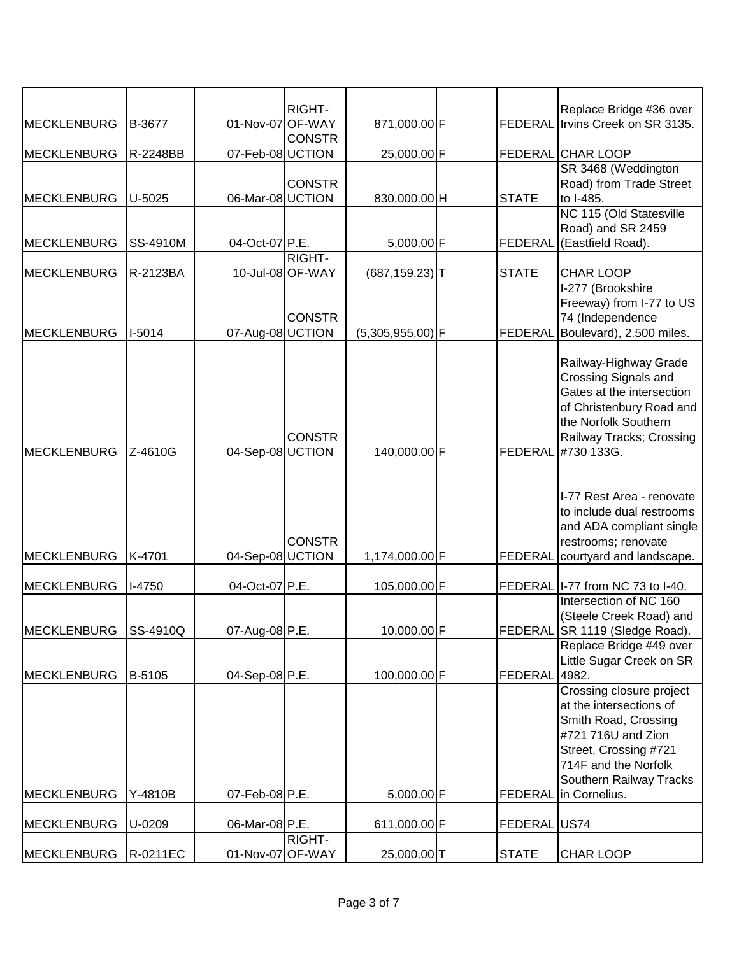|                     |                 |                  | <b>RIGHT-</b>    |                    |                | Replace Bridge #36 over                             |
|---------------------|-----------------|------------------|------------------|--------------------|----------------|-----------------------------------------------------|
| <b>MECKLENBURG</b>  | B-3677          | 01-Nov-07 OF-WAY |                  | 871,000.00 F       |                | FEDERAL Irvins Creek on SR 3135.                    |
|                     |                 |                  | <b>CONSTR</b>    |                    |                |                                                     |
| <b>MECKLENBURG</b>  | R-2248BB        | 07-Feb-08 UCTION |                  | 25,000.00 F        |                | <b>FEDERAL CHAR LOOP</b>                            |
|                     |                 |                  |                  |                    |                | SR 3468 (Weddington                                 |
| <b>MECKLENBURG</b>  | U-5025          | 06-Mar-08 UCTION | <b>CONSTR</b>    | 830,000.00 H       | <b>STATE</b>   | Road) from Trade Street<br>to I-485.                |
|                     |                 |                  |                  |                    |                | NC 115 (Old Statesville                             |
|                     |                 |                  |                  |                    |                | Road) and SR 2459                                   |
| <b>MECKLENBURG</b>  | <b>SS-4910M</b> | 04-Oct-07 P.E.   |                  | 5,000.00 F         | <b>FEDERAL</b> | (Eastfield Road).                                   |
|                     |                 |                  | RIGHT-           |                    |                |                                                     |
| <b>MECKLENBURG</b>  | R-2123BA        |                  | 10-Jul-08 OF-WAY | $(687, 159.23)$ T  | <b>STATE</b>   | <b>CHAR LOOP</b>                                    |
|                     |                 |                  |                  |                    |                | I-277 (Brookshire                                   |
|                     |                 |                  | <b>CONSTR</b>    |                    |                | Freeway) from I-77 to US<br>74 (Independence        |
| <b>MECKLENBURG</b>  | $I-5014$        | 07-Aug-08 UCTION |                  | $(5,305,955.00)$ F | FEDERAL        | Boulevard), 2.500 miles.                            |
|                     |                 |                  |                  |                    |                |                                                     |
|                     |                 |                  |                  |                    |                | Railway-Highway Grade                               |
|                     |                 |                  |                  |                    |                | Crossing Signals and                                |
|                     |                 |                  |                  |                    |                | Gates at the intersection                           |
|                     |                 |                  |                  |                    |                | of Christenbury Road and<br>the Norfolk Southern    |
|                     |                 |                  | <b>CONSTR</b>    |                    |                | Railway Tracks; Crossing                            |
| MECKLENBURG         | Z-4610G         | 04-Sep-08 UCTION |                  | 140,000.00 F       | FEDERAL        | #730 133G.                                          |
|                     |                 |                  |                  |                    |                |                                                     |
|                     |                 |                  |                  |                    |                |                                                     |
|                     |                 |                  |                  |                    |                | I-77 Rest Area - renovate                           |
|                     |                 |                  |                  |                    |                | to include dual restrooms                           |
|                     |                 |                  |                  |                    |                | and ADA compliant single                            |
| <b>MECKLENBURG</b>  | K-4701          | 04-Sep-08 UCTION | <b>CONSTR</b>    | 1,174,000.00 F     | FEDERAL        | restrooms; renovate<br>courtyard and landscape.     |
|                     |                 |                  |                  |                    |                |                                                     |
| <b>MECKLENBURG</b>  | $I-4750$        | 04-Oct-07 P.E.   |                  | 105,000.00 F       |                | FEDERAL   I-77 from NC 73 to I-40.                  |
|                     |                 |                  |                  |                    |                | Intersection of NC 160                              |
|                     |                 |                  |                  |                    |                | (Steele Creek Road) and                             |
| <b>IMECKLENBURG</b> | SS-4910Q        | 07-Aug-08 P.E.   |                  | 10,000.00 F        |                | FEDERAL SR 1119 (Sledge Road).                      |
|                     |                 |                  |                  |                    |                | Replace Bridge #49 over<br>Little Sugar Creek on SR |
| <b>MECKLENBURG</b>  | B-5105          | 04-Sep-08 P.E.   |                  | 100,000.00 F       | FEDERAL        | 4982.                                               |
|                     |                 |                  |                  |                    |                | Crossing closure project                            |
|                     |                 |                  |                  |                    |                | at the intersections of                             |
|                     |                 |                  |                  |                    |                | Smith Road, Crossing                                |
|                     |                 |                  |                  |                    |                | #721 716U and Zion                                  |
|                     |                 |                  |                  |                    |                | Street, Crossing #721                               |
|                     |                 |                  |                  |                    |                | 714F and the Norfolk                                |
| <b>MECKLENBURG</b>  | Y-4810B         | 07-Feb-08 P.E.   |                  | 5,000.00 F         | <b>FEDERAL</b> | Southern Railway Tracks<br>in Cornelius.            |
|                     |                 |                  |                  |                    |                |                                                     |
| <b>MECKLENBURG</b>  | U-0209          | 06-Mar-08 P.E.   |                  | 611,000.00 F       | FEDERAL US74   |                                                     |
|                     |                 |                  | RIGHT-           |                    |                |                                                     |
| <b>MECKLENBURG</b>  | R-0211EC        | 01-Nov-07 OF-WAY |                  | 25,000.00 T        | <b>STATE</b>   | <b>CHAR LOOP</b>                                    |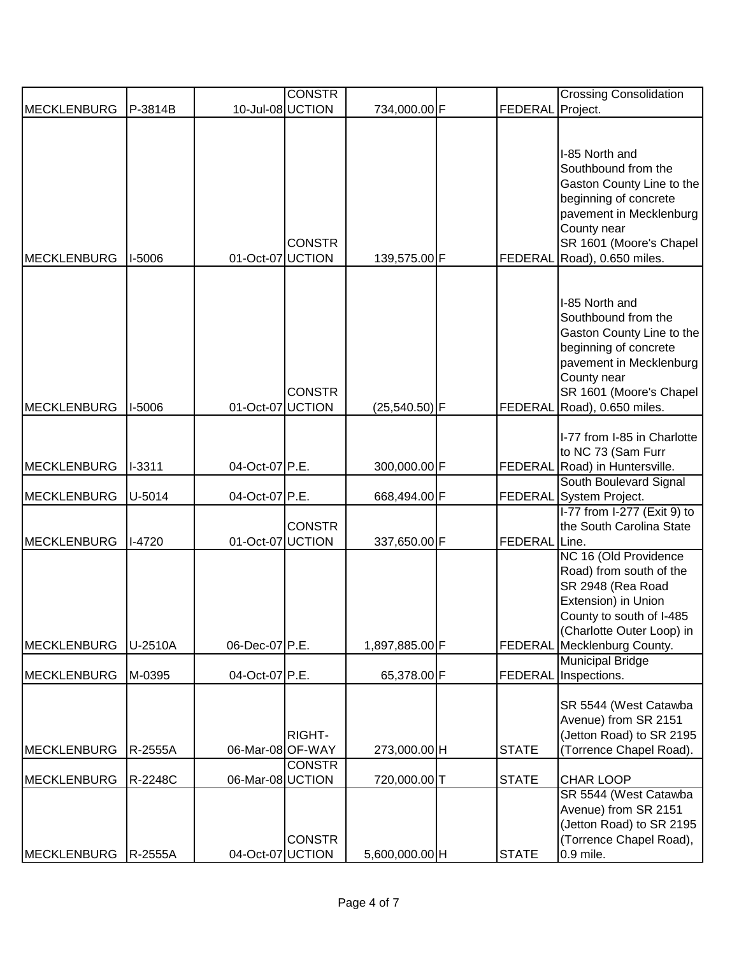|                                          |                           |                                      | <b>CONSTR</b> |                                |                                | <b>Crossing Consolidation</b>                                                                                                                                                           |
|------------------------------------------|---------------------------|--------------------------------------|---------------|--------------------------------|--------------------------------|-----------------------------------------------------------------------------------------------------------------------------------------------------------------------------------------|
| <b>MECKLENBURG</b>                       | P-3814B                   | 10-Jul-08 UCTION                     |               | 734,000.00 F                   | <b>FEDERAL</b>                 | Project.                                                                                                                                                                                |
| <b>MECKLENBURG</b>                       | I-5006                    | 01-Oct-07 UCTION                     | <b>CONSTR</b> | 139,575.00 F                   | <b>FEDERAL</b>                 | I-85 North and<br>Southbound from the<br>Gaston County Line to the<br>beginning of concrete<br>pavement in Mecklenburg<br>County near<br>SR 1601 (Moore's Chapel<br>Road), 0.650 miles. |
| <b>MECKLENBURG</b>                       | I-5006                    | 01-Oct-07 UCTION                     | <b>CONSTR</b> | $(25,540.50)$ F                | <b>FEDERAL</b>                 | I-85 North and<br>Southbound from the<br>Gaston County Line to the<br>beginning of concrete<br>pavement in Mecklenburg<br>County near<br>SR 1601 (Moore's Chapel<br>Road), 0.650 miles. |
| <b>MECKLENBURG</b>                       | $I - 3311$                | 04-Oct-07 P.E.                       |               | 300,000.00 F                   | <b>FEDERAL</b>                 | I-77 from I-85 in Charlotte<br>to NC 73 (Sam Furr<br>Road) in Huntersville.                                                                                                             |
| <b>MECKLENBURG</b>                       | U-5014                    | 04-Oct-07 P.E.                       |               | 668,494.00 F                   | <b>FEDERAL</b>                 | South Boulevard Signal<br>System Project.                                                                                                                                               |
| <b>MECKLENBURG</b>                       | $I-4720$                  | 01-Oct-07 UCTION                     | <b>CONSTR</b> | 337,650.00 F                   | <b>FEDERAL</b>                 | I-77 from I-277 (Exit 9) to<br>the South Carolina State<br>Line.                                                                                                                        |
| <b>MECKLENBURG</b>                       | U-2510A                   | 06-Dec-07 P.E.                       |               | 1,897,885.00 F                 |                                | NC 16 (Old Providence<br>Road) from south of the<br>SR 2948 (Rea Road<br>Extension) in Union<br>County to south of I-485<br>(Charlotte Outer Loop) in<br>FEDERAL Mecklenburg County.    |
|                                          |                           |                                      |               |                                |                                | <b>Municipal Bridge</b>                                                                                                                                                                 |
| <b>MECKLENBURG</b><br><b>MECKLENBURG</b> | M-0395<br>R-2555A         | 04-Oct-07 P.E.<br>06-Mar-08 OF-WAY   | RIGHT-        | 65,378.00 F<br>273,000.00 H    | <b>FEDERAL</b><br><b>STATE</b> | Inspections.<br>SR 5544 (West Catawba<br>Avenue) from SR 2151<br>(Jetton Road) to SR 2195<br>(Torrence Chapel Road).                                                                    |
|                                          |                           |                                      | <b>CONSTR</b> |                                |                                |                                                                                                                                                                                         |
| <b>MECKLENBURG</b><br><b>MECKLENBURG</b> | R-2248C<br><b>R-2555A</b> | 06-Mar-08 UCTION<br>04-Oct-07 UCTION | <b>CONSTR</b> | 720,000.00 T<br>5,600,000.00 H | <b>STATE</b><br><b>STATE</b>   | <b>CHAR LOOP</b><br>SR 5544 (West Catawba<br>Avenue) from SR 2151<br>(Jetton Road) to SR 2195<br>(Torrence Chapel Road),<br>0.9 mile.                                                   |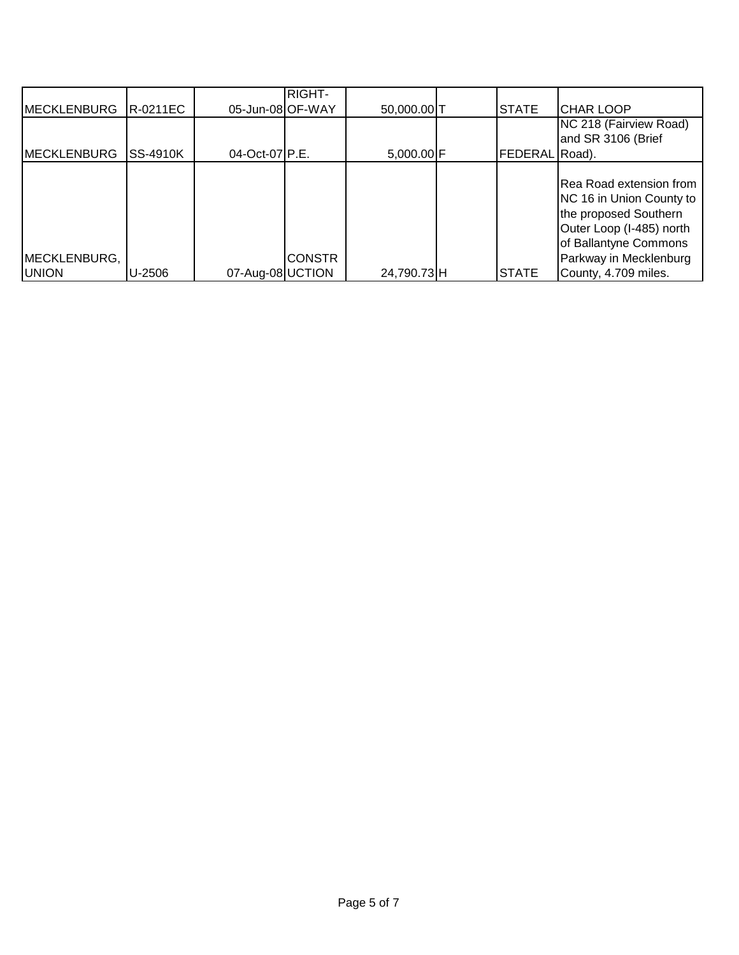|                    |                 |                  | <b>RIGHT-</b> |             |                |                                                                                                                                   |
|--------------------|-----------------|------------------|---------------|-------------|----------------|-----------------------------------------------------------------------------------------------------------------------------------|
| <b>MECKLENBURG</b> | <b>R-0211EC</b> | 05-Jun-08 OF-WAY |               | 50,000.00 T | <b>STATE</b>   | <b>CHAR LOOP</b>                                                                                                                  |
|                    |                 |                  |               |             |                | NC 218 (Fairview Road)                                                                                                            |
|                    |                 |                  |               |             |                | and SR 3106 (Brief                                                                                                                |
| <b>MECKLENBURG</b> | <b>SS-4910K</b> | 04-Oct-07 P.E.   |               | 5,000.00 F  | FEDERAL Road). |                                                                                                                                   |
| MECKLENBURG,       |                 |                  | <b>CONSTR</b> |             |                | Rea Road extension from<br>NC 16 in Union County to<br>the proposed Southern<br>Outer Loop (I-485) north<br>of Ballantyne Commons |
| <b>UNION</b>       | U-2506          | 07-Aug-08 UCTION |               | 24,790.73H  | <b>STATE</b>   | Parkway in Mecklenburg<br>County, 4.709 miles.                                                                                    |
|                    |                 |                  |               |             |                |                                                                                                                                   |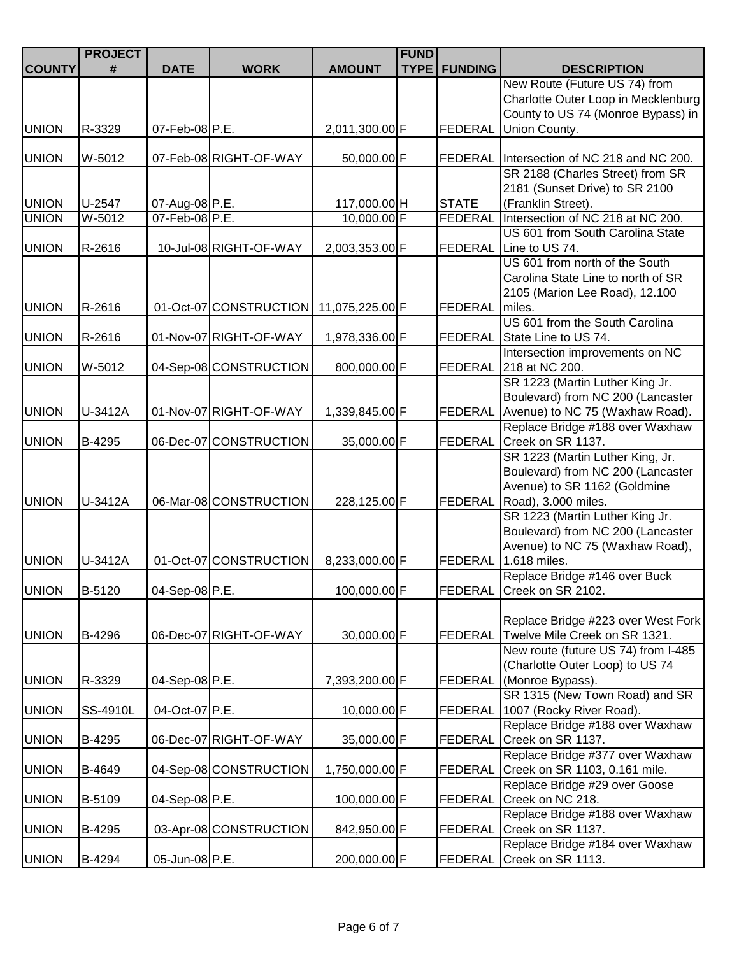|               | <b>PROJECT</b> |                |                                        |                             | <b>FUND</b> |                       |                                                                   |
|---------------|----------------|----------------|----------------------------------------|-----------------------------|-------------|-----------------------|-------------------------------------------------------------------|
| <b>COUNTY</b> | #              | <b>DATE</b>    | <b>WORK</b>                            | <b>AMOUNT</b>               |             | <b>TYPE   FUNDING</b> | <b>DESCRIPTION</b>                                                |
|               |                |                |                                        |                             |             |                       | New Route (Future US 74) from                                     |
|               |                |                |                                        |                             |             |                       | Charlotte Outer Loop in Mecklenburg                               |
|               |                |                |                                        |                             |             |                       | County to US 74 (Monroe Bypass) in                                |
| <b>UNION</b>  | R-3329         | 07-Feb-08 P.E. |                                        | 2,011,300.00 F              |             | <b>FEDERAL</b>        | Union County.                                                     |
|               |                |                |                                        |                             |             |                       |                                                                   |
| <b>UNION</b>  | W-5012         |                | 07-Feb-08 RIGHT-OF-WAY                 | 50,000.00 F                 |             |                       | FEDERAL Intersection of NC 218 and NC 200.                        |
|               |                |                |                                        |                             |             |                       | SR 2188 (Charles Street) from SR                                  |
| <b>UNION</b>  | U-2547         | 07-Aug-08 P.E. |                                        |                             |             | <b>STATE</b>          | 2181 (Sunset Drive) to SR 2100<br>(Franklin Street).              |
| <b>UNION</b>  | $W-5012$       | 07-Feb-08 P.E. |                                        | 117,000.00 H<br>10,000.00 F |             | <b>FEDERAL</b>        | Intersection of NC 218 at NC 200.                                 |
|               |                |                |                                        |                             |             |                       | US 601 from South Carolina State                                  |
| <b>UNION</b>  | R-2616         |                | 10-Jul-08 RIGHT-OF-WAY                 | 2,003,353.00 F              |             |                       | FEDERAL Line to US 74.                                            |
|               |                |                |                                        |                             |             |                       | US 601 from north of the South                                    |
|               |                |                |                                        |                             |             |                       | Carolina State Line to north of SR                                |
|               |                |                |                                        |                             |             |                       | 2105 (Marion Lee Road), 12.100                                    |
| <b>UNION</b>  | R-2616         |                | 01-Oct-07 CONSTRUCTION 11,075,225.00 F |                             |             | FEDERAL               | miles.                                                            |
|               |                |                |                                        |                             |             |                       | US 601 from the South Carolina                                    |
| <b>UNION</b>  | R-2616         |                | 01-Nov-07 RIGHT-OF-WAY                 | 1,978,336.00 F              |             | FEDERAL               | State Line to US 74.                                              |
|               |                |                |                                        |                             |             |                       | Intersection improvements on NC                                   |
| <b>UNION</b>  | W-5012         |                | 04-Sep-08 CONSTRUCTION                 | 800,000.00 F                |             |                       | FEDERAL 218 at NC 200.                                            |
|               |                |                |                                        |                             |             |                       | SR 1223 (Martin Luther King Jr.                                   |
|               |                |                |                                        |                             |             |                       | Boulevard) from NC 200 (Lancaster                                 |
| <b>UNION</b>  | U-3412A        |                | 01-Nov-07 RIGHT-OF-WAY                 | 1,339,845.00 F              |             | FEDERAL               | Avenue) to NC 75 (Waxhaw Road).                                   |
|               |                |                |                                        |                             |             |                       | Replace Bridge #188 over Waxhaw                                   |
| <b>UNION</b>  | B-4295         |                | 06-Dec-07 CONSTRUCTION                 | 35,000.00 F                 |             | <b>FEDERAL</b>        | Creek on SR 1137.                                                 |
|               |                |                |                                        |                             |             |                       | SR 1223 (Martin Luther King, Jr.                                  |
|               |                |                |                                        |                             |             |                       | Boulevard) from NC 200 (Lancaster<br>Avenue) to SR 1162 (Goldmine |
| <b>UNION</b>  | U-3412A        |                | 06-Mar-08 CONSTRUCTION                 | 228,125.00 F                |             | <b>FEDERAL</b>        | Road), 3.000 miles.                                               |
|               |                |                |                                        |                             |             |                       | SR 1223 (Martin Luther King Jr.                                   |
|               |                |                |                                        |                             |             |                       | Boulevard) from NC 200 (Lancaster                                 |
|               |                |                |                                        |                             |             |                       | Avenue) to NC 75 (Waxhaw Road),                                   |
| <b>UNION</b>  | U-3412A        |                | 01-Oct-07 CONSTRUCTION                 | 8,233,000.00 F              |             | FEDERAL               | 1.618 miles.                                                      |
|               |                |                |                                        |                             |             |                       | Replace Bridge #146 over Buck                                     |
| <b>UNION</b>  | B-5120         | 04-Sep-08 P.E. |                                        | 100,000.00 F                |             |                       | FEDERAL Creek on SR 2102.                                         |
|               |                |                |                                        |                             |             |                       |                                                                   |
|               |                |                |                                        |                             |             |                       | Replace Bridge #223 over West Fork                                |
| <b>UNION</b>  | B-4296         |                | 06-Dec-07 RIGHT-OF-WAY                 | 30,000.00 F                 |             | <b>FEDERAL</b>        | Twelve Mile Creek on SR 1321.                                     |
|               |                |                |                                        |                             |             |                       | New route (future US 74) from I-485                               |
|               |                |                |                                        |                             |             |                       | (Charlotte Outer Loop) to US 74                                   |
| <b>UNION</b>  | R-3329         | 04-Sep-08 P.E. |                                        | 7,393,200.00 F              |             | <b>FEDERAL</b>        | (Monroe Bypass).                                                  |
|               |                |                |                                        |                             |             |                       | SR 1315 (New Town Road) and SR                                    |
| <b>UNION</b>  | SS-4910L       | 04-Oct-07 P.E. |                                        | 10,000.00 F                 |             | <b>FEDERAL</b>        | 1007 (Rocky River Road).<br>Replace Bridge #188 over Waxhaw       |
| <b>UNION</b>  | B-4295         |                | 06-Dec-07 RIGHT-OF-WAY                 | 35,000.00 F                 |             | <b>FEDERAL</b>        | Creek on SR 1137.                                                 |
|               |                |                |                                        |                             |             |                       | Replace Bridge #377 over Waxhaw                                   |
| <b>UNION</b>  | B-4649         |                | 04-Sep-08 CONSTRUCTION                 | 1,750,000.00 F              |             | <b>FEDERAL</b>        | Creek on SR 1103, 0.161 mile.                                     |
|               |                |                |                                        |                             |             |                       | Replace Bridge #29 over Goose                                     |
| <b>UNION</b>  | B-5109         | 04-Sep-08 P.E. |                                        | 100,000.00 F                |             |                       | FEDERAL Creek on NC 218.                                          |
|               |                |                |                                        |                             |             |                       | Replace Bridge #188 over Waxhaw                                   |
| <b>UNION</b>  | B-4295         |                | 03-Apr-08 CONSTRUCTION                 | 842,950.00 F                |             | <b>FEDERAL</b>        | Creek on SR 1137.                                                 |
|               |                |                |                                        |                             |             |                       | Replace Bridge #184 over Waxhaw                                   |
| <b>UNION</b>  | B-4294         | 05-Jun-08 P.E. |                                        | 200,000.00 F                |             |                       | FEDERAL Creek on SR 1113.                                         |